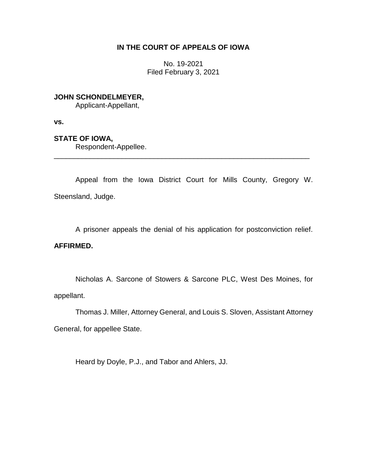# **IN THE COURT OF APPEALS OF IOWA**

No. 19-2021 Filed February 3, 2021

**JOHN SCHONDELMEYER,**

Applicant-Appellant,

**vs.**

**STATE OF IOWA,**

Respondent-Appellee.

Appeal from the Iowa District Court for Mills County, Gregory W. Steensland, Judge.

\_\_\_\_\_\_\_\_\_\_\_\_\_\_\_\_\_\_\_\_\_\_\_\_\_\_\_\_\_\_\_\_\_\_\_\_\_\_\_\_\_\_\_\_\_\_\_\_\_\_\_\_\_\_\_\_\_\_\_\_\_\_\_\_

A prisoner appeals the denial of his application for postconviction relief.

# **AFFIRMED.**

Nicholas A. Sarcone of Stowers & Sarcone PLC, West Des Moines, for appellant.

Thomas J. Miller, Attorney General, and Louis S. Sloven, Assistant Attorney General, for appellee State.

Heard by Doyle, P.J., and Tabor and Ahlers, JJ.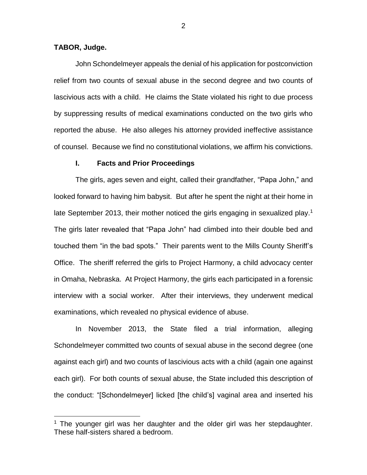### **TABOR, Judge.**

 $\overline{a}$ 

John Schondelmeyer appeals the denial of his application for postconviction relief from two counts of sexual abuse in the second degree and two counts of lascivious acts with a child. He claims the State violated his right to due process by suppressing results of medical examinations conducted on the two girls who reported the abuse. He also alleges his attorney provided ineffective assistance of counsel. Because we find no constitutional violations, we affirm his convictions.

#### **I. Facts and Prior Proceedings**

The girls, ages seven and eight, called their grandfather, "Papa John," and looked forward to having him babysit. But after he spent the night at their home in late September 2013, their mother noticed the girls engaging in sexualized play.<sup>1</sup> The girls later revealed that "Papa John" had climbed into their double bed and touched them "in the bad spots." Their parents went to the Mills County Sheriff's Office. The sheriff referred the girls to Project Harmony, a child advocacy center in Omaha, Nebraska. At Project Harmony, the girls each participated in a forensic interview with a social worker. After their interviews, they underwent medical examinations, which revealed no physical evidence of abuse.

In November 2013, the State filed a trial information, alleging Schondelmeyer committed two counts of sexual abuse in the second degree (one against each girl) and two counts of lascivious acts with a child (again one against each girl). For both counts of sexual abuse, the State included this description of the conduct: "[Schondelmeyer] licked [the child's] vaginal area and inserted his

 $1$  The younger girl was her daughter and the older girl was her stepdaughter. These half-sisters shared a bedroom.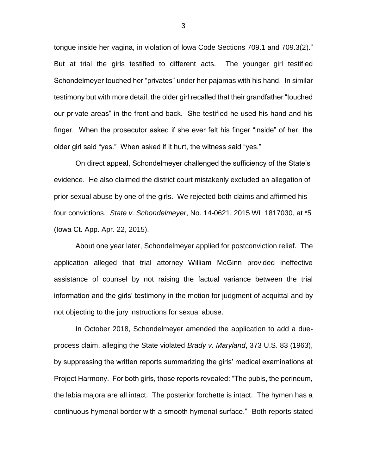tongue inside her vagina, in violation of lowa Code Sections 709.1 and 709.3(2)." But at trial the girls testified to different acts. The younger girl testified Schondelmeyer touched her "privates" under her pajamas with his hand. In similar testimony but with more detail, the older girl recalled that their grandfather "touched our private areas" in the front and back. She testified he used his hand and his finger. When the prosecutor asked if she ever felt his finger "inside" of her, the older girl said "yes." When asked if it hurt, the witness said "yes."

On direct appeal, Schondelmeyer challenged the sufficiency of the State's evidence. He also claimed the district court mistakenly excluded an allegation of prior sexual abuse by one of the girls. We rejected both claims and affirmed his four convictions. *State v. Schondelmeyer*, No. 14-0621, 2015 WL 1817030, at \*5 (Iowa Ct. App. Apr. 22, 2015).

About one year later, Schondelmeyer applied for postconviction relief. The application alleged that trial attorney William McGinn provided ineffective assistance of counsel by not raising the factual variance between the trial information and the girls' testimony in the motion for judgment of acquittal and by not objecting to the jury instructions for sexual abuse.

In October 2018, Schondelmeyer amended the application to add a dueprocess claim, alleging the State violated *Brady v. Maryland*, 373 U.S. 83 (1963), by suppressing the written reports summarizing the girls' medical examinations at Project Harmony. For both girls, those reports revealed: "The pubis, the perineum, the labia majora are all intact. The posterior forchette is intact. The hymen has a continuous hymenal border with a smooth hymenal surface." Both reports stated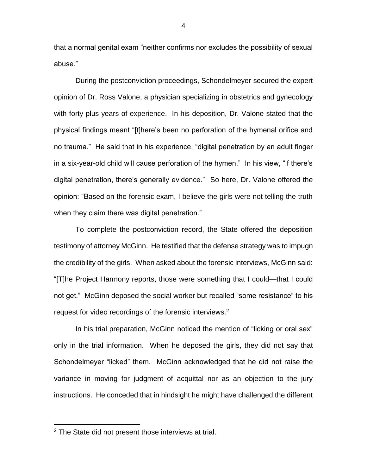that a normal genital exam "neither confirms nor excludes the possibility of sexual abuse."

During the postconviction proceedings, Schondelmeyer secured the expert opinion of Dr. Ross Valone, a physician specializing in obstetrics and gynecology with forty plus years of experience. In his deposition, Dr. Valone stated that the physical findings meant "[t]here's been no perforation of the hymenal orifice and no trauma." He said that in his experience, "digital penetration by an adult finger in a six-year-old child will cause perforation of the hymen." In his view, "if there's digital penetration, there's generally evidence." So here, Dr. Valone offered the opinion: "Based on the forensic exam, I believe the girls were not telling the truth when they claim there was digital penetration."

To complete the postconviction record, the State offered the deposition testimony of attorney McGinn. He testified that the defense strategy was to impugn the credibility of the girls. When asked about the forensic interviews, McGinn said: "[T]he Project Harmony reports, those were something that I could—that I could not get." McGinn deposed the social worker but recalled "some resistance" to his request for video recordings of the forensic interviews.<sup>2</sup>

In his trial preparation, McGinn noticed the mention of "licking or oral sex" only in the trial information. When he deposed the girls, they did not say that Schondelmeyer "licked" them. McGinn acknowledged that he did not raise the variance in moving for judgment of acquittal nor as an objection to the jury instructions. He conceded that in hindsight he might have challenged the different

<sup>&</sup>lt;sup>2</sup> The State did not present those interviews at trial.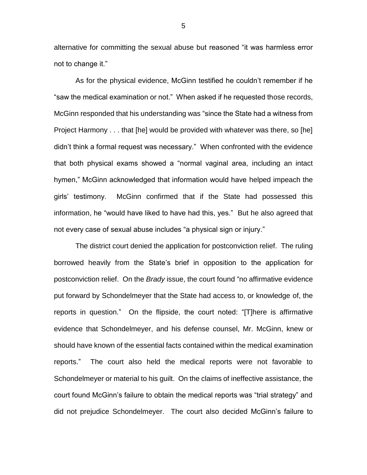alternative for committing the sexual abuse but reasoned "it was harmless error not to change it."

As for the physical evidence, McGinn testified he couldn't remember if he "saw the medical examination or not." When asked if he requested those records, McGinn responded that his understanding was "since the State had a witness from Project Harmony . . . that [he] would be provided with whatever was there, so [he] didn't think a formal request was necessary." When confronted with the evidence that both physical exams showed a "normal vaginal area, including an intact hymen," McGinn acknowledged that information would have helped impeach the girls' testimony. McGinn confirmed that if the State had possessed this information, he "would have liked to have had this, yes." But he also agreed that not every case of sexual abuse includes "a physical sign or injury."

The district court denied the application for postconviction relief. The ruling borrowed heavily from the State's brief in opposition to the application for postconviction relief. On the *Brady* issue, the court found "no affirmative evidence put forward by Schondelmeyer that the State had access to, or knowledge of, the reports in question." On the flipside, the court noted: "[T]here is affirmative evidence that Schondelmeyer, and his defense counsel, Mr. McGinn, knew or should have known of the essential facts contained within the medical examination reports." The court also held the medical reports were not favorable to Schondelmeyer or material to his guilt. On the claims of ineffective assistance, the court found McGinn's failure to obtain the medical reports was "trial strategy" and did not prejudice Schondelmeyer. The court also decided McGinn's failure to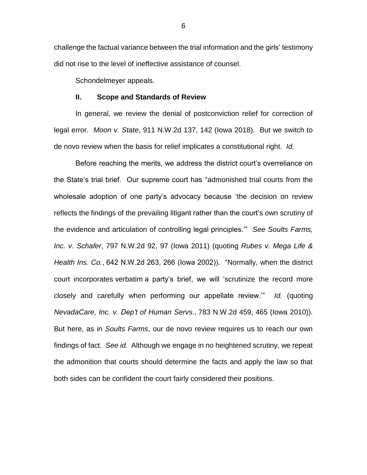challenge the factual variance between the trial information and the girls' testimony did not rise to the level of ineffective assistance of counsel.

Schondelmeyer appeals.

#### **II. Scope and Standards of Review**

In general, we review the denial of postconviction relief for correction of legal error. *Moon v. State*, 911 N.W.2d 137, 142 (Iowa 2018). But we switch to de novo review when the basis for relief implicates a constitutional right. *Id.*

Before reaching the merits, we address the district court's overreliance on the State's trial brief. Our supreme court has "admonished trial courts from the wholesale adoption of one party's advocacy because 'the decision on review reflects the findings of the prevailing litigant rather than the court's own scrutiny of the evidence and articulation of controlling legal principles.'" *See Soults Farms, Inc. v. Schafer*, 797 N.W.2d 92, 97 (Iowa 2011) (quoting *Rubes v. Mega Life & Health Ins. Co.*, 642 N.W.2d 263, 266 (Iowa 2002)). "Normally, when the district court incorporates verbatim a party's brief, we will 'scrutinize the record more closely and carefully when performing our appellate review.'" *Id.* (quoting *NevadaCare, Inc. v. Dep't of Human Servs.*, 783 N.W.2d 459, 465 (Iowa 2010)). But here, as in *Soults Farms*, our de novo review requires us to reach our own findings of fact. *See id.* Although we engage in no heightened scrutiny, we repeat the admonition that courts should determine the facts and apply the law so that both sides can be confident the court fairly considered their positions.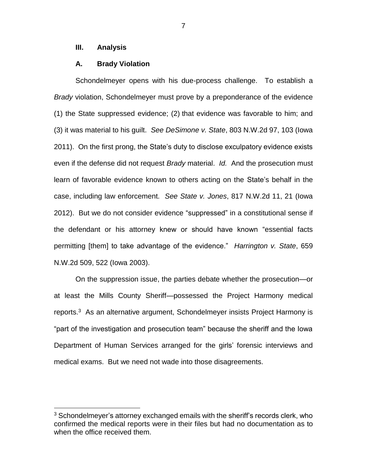### **III. Analysis**

 $\overline{a}$ 

### **A. Brady Violation**

Schondelmeyer opens with his due-process challenge. To establish a *Brady* violation, Schondelmeyer must prove by a preponderance of the evidence (1) the State suppressed evidence; (2) that evidence was favorable to him; and (3) it was material to his guilt. *See DeSimone v. State*, 803 N.W.2d 97, 103 (Iowa 2011). On the first prong, the State's duty to disclose exculpatory evidence exists even if the defense did not request *Brady* material. *Id.* And the prosecution must learn of favorable evidence known to others acting on the State's behalf in the case, including law enforcement. *See State v. Jones*, 817 N.W.2d 11, 21 (Iowa 2012). But we do not consider evidence "suppressed" in a constitutional sense if the defendant or his attorney knew or should have known "essential facts permitting [them] to take advantage of the evidence." *Harrington v. State*, 659 N.W.2d 509, 522 (Iowa 2003).

On the suppression issue, the parties debate whether the prosecution—or at least the Mills County Sheriff—possessed the Project Harmony medical reports.<sup>3</sup> As an alternative argument, Schondelmeyer insists Project Harmony is "part of the investigation and prosecution team" because the sheriff and the Iowa Department of Human Services arranged for the girls' forensic interviews and medical exams. But we need not wade into those disagreements.

 $3$  Schondelmeyer's attorney exchanged emails with the sheriff's records clerk, who confirmed the medical reports were in their files but had no documentation as to when the office received them.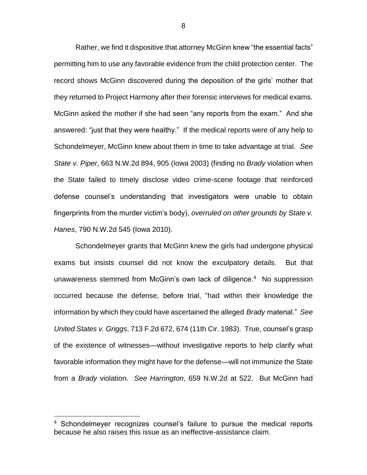Rather, we find it dispositive that attorney McGinn knew "the essential facts" permitting him to use any favorable evidence from the child protection center. The record shows McGinn discovered during the deposition of the girls' mother that they returned to Project Harmony after their forensic interviews for medical exams. McGinn asked the mother if she had seen "any reports from the exam." And she answered: "just that they were healthy." If the medical reports were of any help to Schondelmeyer, McGinn knew about them in time to take advantage at trial. *See State v. Piper*, 663 N.W.2d 894, 905 (Iowa 2003) (finding no *Brady* violation when the State failed to timely disclose video crime-scene footage that reinforced defense counsel's understanding that investigators were unable to obtain fingerprints from the murder victim's body), *overruled on other grounds by State v. Hanes*, 790 N.W.2d 545 (Iowa 2010).

Schondelmeyer grants that McGinn knew the girls had undergone physical exams but insists counsel did not know the exculpatory details. But that unawareness stemmed from McGinn's own lack of diligence.<sup>4</sup> No suppression occurred because the defense, before trial, "had within their knowledge the information by which they could have ascertained the alleged *Brady* material." *See United States v. Griggs*, 713 F.2d 672, 674 (11th Cir. 1983). True, counsel's grasp of the existence of witnesses—without investigative reports to help clarify what favorable information they might have for the defense—will not immunize the State from a *Brady* violation. *See Harrington*, 659 N.W.2d at 522. But McGinn had

 $\overline{a}$ 

<sup>&</sup>lt;sup>4</sup> Schondelmeyer recognizes counsel's failure to pursue the medical reports because he also raises this issue as an ineffective-assistance claim.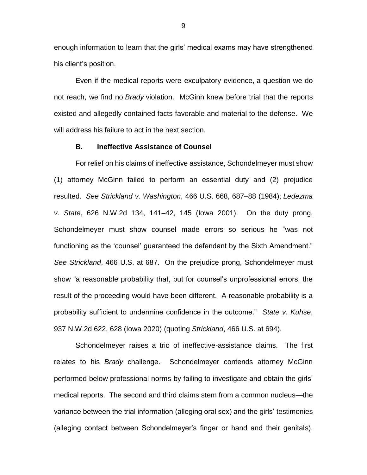enough information to learn that the girls' medical exams may have strengthened his client's position.

Even if the medical reports were exculpatory evidence, a question we do not reach, we find no *Brady* violation. McGinn knew before trial that the reports existed and allegedly contained facts favorable and material to the defense. We will address his failure to act in the next section.

#### **B. Ineffective Assistance of Counsel**

For relief on his claims of ineffective assistance, Schondelmeyer must show (1) attorney McGinn failed to perform an essential duty and (2) prejudice resulted. *See Strickland v. Washington*, 466 U.S. 668, 687–88 (1984); *Ledezma v. State*, 626 N.W.2d 134, 141–42, 145 (Iowa 2001). On the duty prong, Schondelmeyer must show counsel made errors so serious he "was not functioning as the 'counsel' guaranteed the defendant by the Sixth Amendment." *See Strickland*, 466 U.S. at 687. On the prejudice prong, Schondelmeyer must show "a reasonable probability that, but for counsel's unprofessional errors, the result of the proceeding would have been different. A reasonable probability is a probability sufficient to undermine confidence in the outcome." *State v. Kuhse*, 937 N.W.2d 622, 628 (Iowa 2020) (quoting *Strickland*, 466 U.S. at 694).

Schondelmeyer raises a trio of ineffective-assistance claims. The first relates to his *Brady* challenge. Schondelmeyer contends attorney McGinn performed below professional norms by failing to investigate and obtain the girls' medical reports. The second and third claims stem from a common nucleus—the variance between the trial information (alleging oral sex) and the girls' testimonies (alleging contact between Schondelmeyer's finger or hand and their genitals).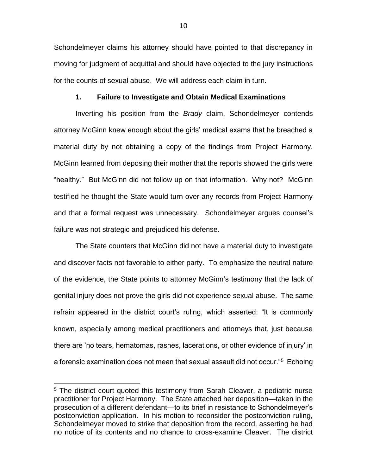Schondelmeyer claims his attorney should have pointed to that discrepancy in moving for judgment of acquittal and should have objected to the jury instructions for the counts of sexual abuse. We will address each claim in turn.

#### **1. Failure to Investigate and Obtain Medical Examinations**

Inverting his position from the *Brady* claim, Schondelmeyer contends attorney McGinn knew enough about the girls' medical exams that he breached a material duty by not obtaining a copy of the findings from Project Harmony. McGinn learned from deposing their mother that the reports showed the girls were "healthy." But McGinn did not follow up on that information. Why not? McGinn testified he thought the State would turn over any records from Project Harmony and that a formal request was unnecessary. Schondelmeyer argues counsel's failure was not strategic and prejudiced his defense.

The State counters that McGinn did not have a material duty to investigate and discover facts not favorable to either party. To emphasize the neutral nature of the evidence, the State points to attorney McGinn's testimony that the lack of genital injury does not prove the girls did not experience sexual abuse. The same refrain appeared in the district court's ruling, which asserted: "It is commonly known, especially among medical practitioners and attorneys that, just because there are 'no tears, hematomas, rashes, lacerations, or other evidence of injury' in a forensic examination does not mean that sexual assault did not occur."<sup>5</sup> Echoing

<sup>&</sup>lt;sup>5</sup> The district court quoted this testimony from Sarah Cleaver, a pediatric nurse practitioner for Project Harmony. The State attached her deposition—taken in the prosecution of a different defendant—to its brief in resistance to Schondelmeyer's postconviction application. In his motion to reconsider the postconviction ruling, Schondelmeyer moved to strike that deposition from the record, asserting he had no notice of its contents and no chance to cross-examine Cleaver. The district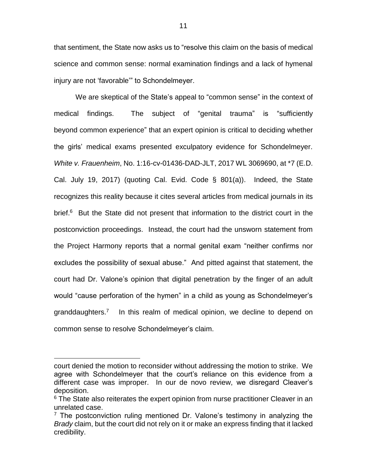that sentiment, the State now asks us to "resolve this claim on the basis of medical science and common sense: normal examination findings and a lack of hymenal injury are not 'favorable'" to Schondelmeyer.

We are skeptical of the State's appeal to "common sense" in the context of medical findings. The subject of "genital trauma" is "sufficiently beyond common experience" that an expert opinion is critical to deciding whether the girls' medical exams presented exculpatory evidence for Schondelmeyer. *White v. Frauenheim*, No. 1:16-cv-01436-DAD-JLT, 2017 WL 3069690, at \*7 (E.D. Cal. July 19, 2017) (quoting Cal. Evid. Code § 801(a)). Indeed, the State recognizes this reality because it cites several articles from medical journals in its brief.<sup>6</sup> But the State did not present that information to the district court in the postconviction proceedings. Instead, the court had the unsworn statement from the Project Harmony reports that a normal genital exam "neither confirms nor excludes the possibility of sexual abuse." And pitted against that statement, the court had Dr. Valone's opinion that digital penetration by the finger of an adult would "cause perforation of the hymen" in a child as young as Schondelmeyer's granddaughters.<sup>7</sup> In this realm of medical opinion, we decline to depend on common sense to resolve Schondelmeyer's claim.

court denied the motion to reconsider without addressing the motion to strike. We agree with Schondelmeyer that the court's reliance on this evidence from a different case was improper. In our de novo review, we disregard Cleaver's deposition.

<sup>&</sup>lt;sup>6</sup> The State also reiterates the expert opinion from nurse practitioner Cleaver in an unrelated case.

 $7$  The postconviction ruling mentioned Dr. Valone's testimony in analyzing the *Brady* claim, but the court did not rely on it or make an express finding that it lacked credibility.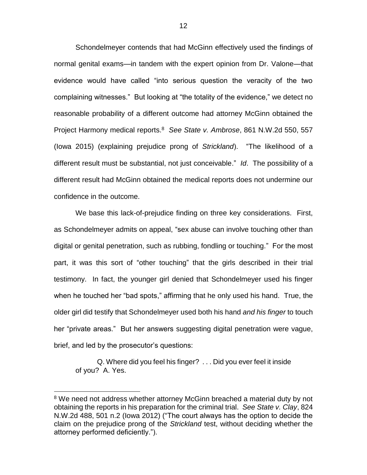Schondelmeyer contends that had McGinn effectively used the findings of normal genital exams—in tandem with the expert opinion from Dr. Valone—that evidence would have called "into serious question the veracity of the two complaining witnesses." But looking at "the totality of the evidence," we detect no reasonable probability of a different outcome had attorney McGinn obtained the Project Harmony medical reports.<sup>8</sup> *See State v. Ambrose*, 861 N.W.2d 550, 557 (Iowa 2015) (explaining prejudice prong of *Strickland*). "The likelihood of a different result must be substantial, not just conceivable." *Id*. The possibility of a different result had McGinn obtained the medical reports does not undermine our confidence in the outcome.

We base this lack-of-prejudice finding on three key considerations. First, as Schondelmeyer admits on appeal, "sex abuse can involve touching other than digital or genital penetration, such as rubbing, fondling or touching." For the most part, it was this sort of "other touching" that the girls described in their trial testimony. In fact, the younger girl denied that Schondelmeyer used his finger when he touched her "bad spots," affirming that he only used his hand. True, the older girl did testify that Schondelmeyer used both his hand *and his finger* to touch her "private areas." But her answers suggesting digital penetration were vague, brief, and led by the prosecutor's questions:

Q. Where did you feel his finger? . . . Did you ever feel it inside of you? A. Yes.

<sup>&</sup>lt;sup>8</sup> We need not address whether attorney McGinn breached a material duty by not obtaining the reports in his preparation for the criminal trial. *See State v. Clay*, 824 N.W.2d 488, 501 n.2 (Iowa 2012) ("The court always has the option to decide the claim on the prejudice prong of the *Strickland* test, without deciding whether the attorney performed deficiently.").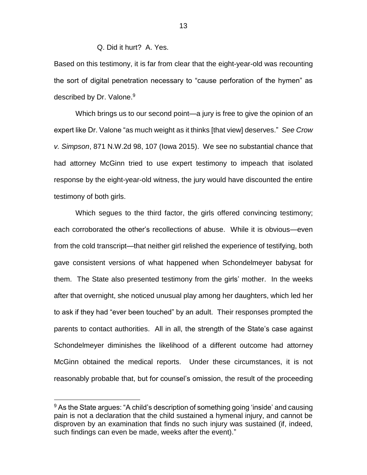# Q. Did it hurt? A. Yes.

Based on this testimony, it is far from clear that the eight-year-old was recounting the sort of digital penetration necessary to "cause perforation of the hymen" as described by Dr. Valone.<sup>9</sup>

Which brings us to our second point—a jury is free to give the opinion of an expert like Dr. Valone "as much weight as it thinks [that view] deserves." *See Crow v. Simpson*, 871 N.W.2d 98, 107 (Iowa 2015). We see no substantial chance that had attorney McGinn tried to use expert testimony to impeach that isolated response by the eight-year-old witness, the jury would have discounted the entire testimony of both girls.

Which segues to the third factor, the girls offered convincing testimony; each corroborated the other's recollections of abuse. While it is obvious—even from the cold transcript—that neither girl relished the experience of testifying, both gave consistent versions of what happened when Schondelmeyer babysat for them. The State also presented testimony from the girls' mother. In the weeks after that overnight, she noticed unusual play among her daughters, which led her to ask if they had "ever been touched" by an adult. Their responses prompted the parents to contact authorities. All in all, the strength of the State's case against Schondelmeyer diminishes the likelihood of a different outcome had attorney McGinn obtained the medical reports. Under these circumstances, it is not reasonably probable that, but for counsel's omission, the result of the proceeding

 $9$  As the State argues: "A child's description of something going 'inside' and causing pain is not a declaration that the child sustained a hymenal injury, and cannot be disproven by an examination that finds no such injury was sustained (if, indeed, such findings can even be made, weeks after the event)."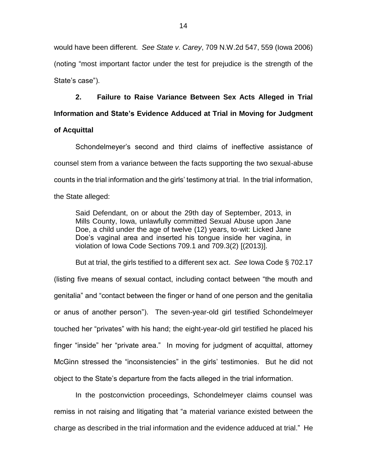would have been different. *See State v. Carey*, 709 N.W.2d 547, 559 (Iowa 2006) (noting "most important factor under the test for prejudice is the strength of the State's case").

**2. Failure to Raise Variance Between Sex Acts Alleged in Trial Information and State's Evidence Adduced at Trial in Moving for Judgment** 

# **of Acquittal**

Schondelmeyer's second and third claims of ineffective assistance of counsel stem from a variance between the facts supporting the two sexual-abuse counts in the trial information and the girls' testimony at trial. In the trial information, the State alleged:

Said Defendant, on or about the 29th day of September, 2013, in Mills County, Iowa, unlawfully committed Sexual Abuse upon Jane Doe, a child under the age of twelve (12) years, to-wit: Licked Jane Doe's vaginal area and inserted his tongue inside her vagina, in violation of Iowa Code Sections 709.1 and 709.3(2) [(2013)].

But at trial, the girls testified to a different sex act. *See* Iowa Code § 702.17 (listing five means of sexual contact, including contact between "the mouth and genitalia" and "contact between the finger or hand of one person and the genitalia or anus of another person"). The seven-year-old girl testified Schondelmeyer touched her "privates" with his hand; the eight-year-old girl testified he placed his finger "inside" her "private area." In moving for judgment of acquittal, attorney McGinn stressed the "inconsistencies" in the girls' testimonies. But he did not object to the State's departure from the facts alleged in the trial information.

In the postconviction proceedings, Schondelmeyer claims counsel was remiss in not raising and litigating that "a material variance existed between the charge as described in the trial information and the evidence adduced at trial." He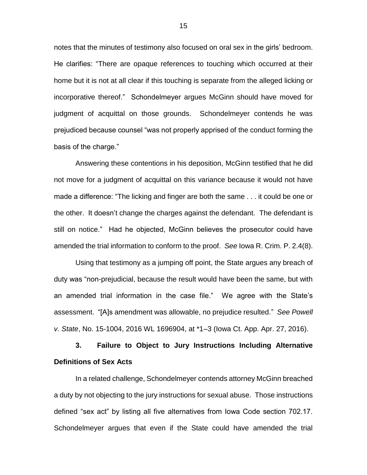notes that the minutes of testimony also focused on oral sex in the girls' bedroom. He clarifies: "There are opaque references to touching which occurred at their home but it is not at all clear if this touching is separate from the alleged licking or incorporative thereof." Schondelmeyer argues McGinn should have moved for judgment of acquittal on those grounds. Schondelmeyer contends he was prejudiced because counsel "was not properly apprised of the conduct forming the basis of the charge."

Answering these contentions in his deposition, McGinn testified that he did not move for a judgment of acquittal on this variance because it would not have made a difference: "The licking and finger are both the same . . . it could be one or the other. It doesn't change the charges against the defendant. The defendant is still on notice." Had he objected, McGinn believes the prosecutor could have amended the trial information to conform to the proof. *See* Iowa R. Crim. P. 2.4(8).

Using that testimony as a jumping off point, the State argues any breach of duty was "non-prejudicial, because the result would have been the same, but with an amended trial information in the case file." We agree with the State's assessment. "[A]s amendment was allowable, no prejudice resulted." *See Powell v. State*, No. 15-1004, 2016 WL 1696904, at \*1–3 (Iowa Ct. App. Apr. 27, 2016).

**3. Failure to Object to Jury Instructions Including Alternative Definitions of Sex Acts**

In a related challenge, Schondelmeyer contends attorney McGinn breached a duty by not objecting to the jury instructions for sexual abuse. Those instructions defined "sex act" by listing all five alternatives from Iowa Code section 702.17. Schondelmeyer argues that even if the State could have amended the trial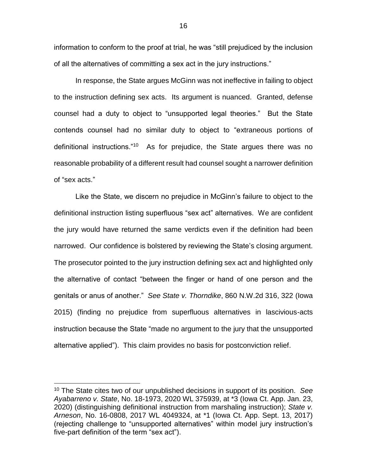information to conform to the proof at trial, he was "still prejudiced by the inclusion of all the alternatives of committing a sex act in the jury instructions."

In response, the State argues McGinn was not ineffective in failing to object to the instruction defining sex acts. Its argument is nuanced. Granted, defense counsel had a duty to object to "unsupported legal theories." But the State contends counsel had no similar duty to object to "extraneous portions of definitional instructions."<sup>10</sup> As for prejudice, the State argues there was no reasonable probability of a different result had counsel sought a narrower definition of "sex acts."

Like the State, we discern no prejudice in McGinn's failure to object to the definitional instruction listing superfluous "sex act" alternatives. We are confident the jury would have returned the same verdicts even if the definition had been narrowed. Our confidence is bolstered by reviewing the State's closing argument. The prosecutor pointed to the jury instruction defining sex act and highlighted only the alternative of contact "between the finger or hand of one person and the genitals or anus of another." *See State v. Thorndike*, 860 N.W.2d 316, 322 (Iowa 2015) (finding no prejudice from superfluous alternatives in lascivious-acts instruction because the State "made no argument to the jury that the unsupported alternative applied"). This claim provides no basis for postconviction relief.

<sup>10</sup> The State cites two of our unpublished decisions in support of its position. *See Ayabarreno v. State*, No. 18-1973, 2020 WL 375939, at \*3 (Iowa Ct. App. Jan. 23, 2020) (distinguishing definitional instruction from marshaling instruction); *State v. Arneson*, No. 16-0808, 2017 WL 4049324, at \*1 (Iowa Ct. App. Sept. 13, 2017) (rejecting challenge to "unsupported alternatives" within model jury instruction's five-part definition of the term "sex act").